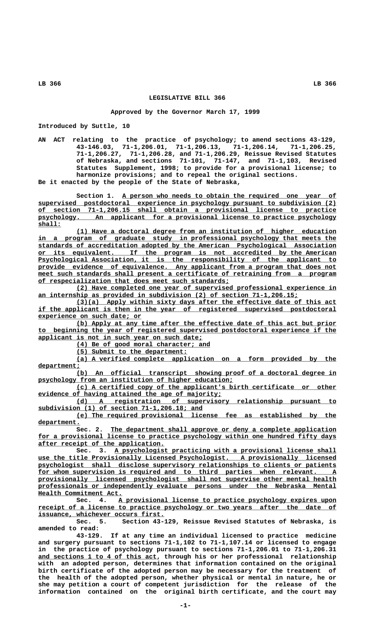## **LEGISLATIVE BILL 366**

## **Approved by the Governor March 17, 1999**

**Introduced by Suttle, 10**

**AN ACT relating to the practice of psychology; to amend sections 43-129, 43-146.03, 71-1,206.01, 71-1,206.13, 71-1,206.14, 71-1,206.25, 71-1,206.27, 71-1,206.28, and 71-1,206.29, Reissue Revised Statutes of Nebraska, and sections 71-101, 71-147, and 71-1,103, Revised Statutes Supplement, 1998; to provide for a provisional license; to harmonize provisions; and to repeal the original sections. Be it enacted by the people of the State of Nebraska,**

Section 1. A person who needs to obtain the required one year of  **\_\_\_\_\_\_\_\_\_\_\_\_\_\_\_\_\_\_\_\_\_\_\_\_\_\_\_\_\_\_\_\_\_\_\_\_\_\_\_\_\_\_\_\_\_\_\_\_\_\_\_\_\_\_\_\_\_\_\_\_\_\_\_\_\_\_\_\_\_\_\_\_\_\_\_\_\_\_ supervised postdoctoral experience in psychology pursuant to subdivision (2) \_\_\_\_\_\_\_\_\_\_\_\_\_\_\_\_\_\_\_\_\_\_\_\_\_\_\_\_\_\_\_\_\_\_\_\_\_\_\_\_\_\_\_\_\_\_\_\_\_\_\_\_\_\_\_\_\_\_\_\_\_\_\_\_\_\_\_\_\_\_\_\_\_\_\_\_\_\_ of section 71-1,206.15 shall obtain a provisional license to practice \_\_\_\_\_\_\_\_\_\_\_\_\_\_\_\_\_\_\_\_\_\_\_\_\_\_\_\_\_\_\_\_\_\_\_\_\_\_\_\_\_\_\_\_\_\_\_\_\_\_\_\_\_\_\_\_\_\_\_\_\_\_\_\_\_\_\_\_\_\_\_\_\_\_\_\_\_\_ psychology. An applicant for a provisional license to practice psychology shall: \_\_\_\_\_\_**

 **\_\_\_\_\_\_\_\_\_\_\_\_\_\_\_\_\_\_\_\_\_\_\_\_\_\_\_\_\_\_\_\_\_\_\_\_\_\_\_\_\_\_\_\_\_\_\_\_\_\_\_\_\_\_\_\_\_\_\_\_\_\_\_\_\_\_\_\_ (1) Have a doctoral degree from an institution of higher education \_\_\_\_\_\_\_\_\_\_\_\_\_\_\_\_\_\_\_\_\_\_\_\_\_\_\_\_\_\_\_\_\_\_\_\_\_\_\_\_\_\_\_\_\_\_\_\_\_\_\_\_\_\_\_\_\_\_\_\_\_\_\_\_\_\_\_\_\_\_\_\_\_\_\_\_\_\_ in a program of graduate study in professional psychology that meets the \_\_\_\_\_\_\_\_\_\_\_\_\_\_\_\_\_\_\_\_\_\_\_\_\_\_\_\_\_\_\_\_\_\_\_\_\_\_\_\_\_\_\_\_\_\_\_\_\_\_\_\_\_\_\_\_\_\_\_\_\_\_\_\_\_\_\_\_\_\_\_\_\_\_\_\_\_\_ standards of accreditation adopted by the American Psychological Association \_\_\_\_\_\_\_\_\_\_\_\_\_\_\_\_\_\_\_\_\_\_\_\_\_\_\_\_\_\_\_\_\_\_\_\_\_\_\_\_\_\_\_\_\_\_\_\_\_\_\_\_\_\_\_\_\_\_\_\_\_\_\_\_\_\_\_\_\_\_\_\_\_\_\_\_\_\_ or its equivalent. If the program is not accredited by the American \_\_\_\_\_\_\_\_\_\_\_\_\_\_\_\_\_\_\_\_\_\_\_\_\_\_\_\_\_\_\_\_\_\_\_\_\_\_\_\_\_\_\_\_\_\_\_\_\_\_\_\_\_\_\_\_\_\_\_\_\_\_\_\_\_\_\_\_\_\_\_\_\_\_\_\_\_\_ Psychological Association, it is the responsibility of the applicant to \_\_\_\_\_\_\_\_\_\_\_\_\_\_\_\_\_\_\_\_\_\_\_\_\_\_\_\_\_\_\_\_\_\_\_\_\_\_\_\_\_\_\_\_\_\_\_\_\_\_\_\_\_\_\_\_\_\_\_\_\_\_\_\_\_\_\_\_\_\_\_\_\_\_\_\_\_\_ provide evidence of equivalence. Any applicant from a program that does not**  $m$ eet such standards shall present a certificate of retraining from a program  **\_\_\_\_\_\_\_\_\_\_\_\_\_\_\_\_\_\_\_\_\_\_\_\_\_\_\_\_\_\_\_\_\_\_\_\_\_\_\_\_\_\_\_\_\_\_\_\_\_\_ of respecialization that does meet such standards;**

> **\_\_\_\_\_\_\_\_\_\_\_\_\_\_\_\_\_\_\_\_\_\_\_\_\_\_\_\_\_\_\_\_\_\_\_\_\_\_\_\_\_\_\_\_\_\_\_\_\_\_\_\_\_\_\_\_\_\_\_\_\_\_\_\_\_\_\_\_ (2) Have completed one year of supervised professional experience in \_\_\_\_\_\_\_\_\_\_\_\_\_\_\_\_\_\_\_\_\_\_\_\_\_\_\_\_\_\_\_\_\_\_\_\_\_\_\_\_\_\_\_\_\_\_\_\_\_\_\_\_\_\_\_\_\_\_\_\_\_\_\_\_\_\_\_\_ an internship as provided in subdivision (2) of section 71-1,206.15;**

> **\_\_\_\_\_\_\_\_\_\_\_\_\_\_\_\_\_\_\_\_\_\_\_\_\_\_\_\_\_\_\_\_\_\_\_\_\_\_\_\_\_\_\_\_\_\_\_\_\_\_\_\_\_\_\_\_\_\_\_\_\_\_\_\_\_\_\_\_ (3)(a) Apply within sixty days after the effective date of this act \_\_\_\_\_\_\_\_\_\_\_\_\_\_\_\_\_\_\_\_\_\_\_\_\_\_\_\_\_\_\_\_\_\_\_\_\_\_\_\_\_\_\_\_\_\_\_\_\_\_\_\_\_\_\_\_\_\_\_\_\_\_\_\_\_\_\_\_\_\_\_\_\_\_\_\_\_\_ if the applicant is then in the year of registered supervised postdoctoral \_\_\_\_\_\_\_\_\_\_\_\_\_\_\_\_\_\_\_\_\_\_\_\_\_\_\_ experience on such date; or**

> **\_\_\_\_\_\_\_\_\_\_\_\_\_\_\_\_\_\_\_\_\_\_\_\_\_\_\_\_\_\_\_\_\_\_\_\_\_\_\_\_\_\_\_\_\_\_\_\_\_\_\_\_\_\_\_\_\_\_\_\_\_\_\_\_\_\_\_\_ (b) Apply at any time after the effective date of this act but prior \_\_\_\_\_\_\_\_\_\_\_\_\_\_\_\_\_\_\_\_\_\_\_\_\_\_\_\_\_\_\_\_\_\_\_\_\_\_\_\_\_\_\_\_\_\_\_\_\_\_\_\_\_\_\_\_\_\_\_\_\_\_\_\_\_\_\_\_\_\_\_\_\_\_\_\_\_\_ to beginning the year of registered supervised postdoctoral experience if the \_\_\_\_\_\_\_\_\_\_\_\_\_\_\_\_\_\_\_\_\_\_\_\_\_\_\_\_\_\_\_\_\_\_\_\_\_\_\_\_\_\_\_ applicant is not in such year on such date;**

 **\_\_\_\_\_\_\_\_\_\_\_\_\_\_\_\_\_\_\_\_\_\_\_\_\_\_\_\_\_\_\_\_\_\_\_ (4) Be of good moral character; and**

 **\_\_\_\_\_\_\_\_\_\_\_\_\_\_\_\_\_\_\_\_\_\_\_\_\_\_\_\_\_ (5) Submit to the department:**

 **\_\_\_\_\_\_\_\_\_\_\_\_\_\_\_\_\_\_\_\_\_\_\_\_\_\_\_\_\_\_\_\_\_\_\_\_\_\_\_\_\_\_\_\_\_\_\_\_\_\_\_\_\_\_\_\_\_\_\_\_\_\_\_\_\_\_\_\_ (a) A verified complete application on a form provided by the department; \_\_\_\_\_\_\_\_\_\_\_**

 **\_\_\_\_\_\_\_\_\_\_\_\_\_\_\_\_\_\_\_\_\_\_\_\_\_\_\_\_\_\_\_\_\_\_\_\_\_\_\_\_\_\_\_\_\_\_\_\_\_\_\_\_\_\_\_\_\_\_\_\_\_\_\_\_\_\_\_\_ (b) An official transcript showing proof of a doctoral degree in \_\_\_\_\_\_\_\_\_\_\_\_\_\_\_\_\_\_\_\_\_\_\_\_\_\_\_\_\_\_\_\_\_\_\_\_\_\_\_\_\_\_\_\_\_\_\_\_\_\_\_ psychology from an institution of higher education;**

 **\_\_\_\_\_\_\_\_\_\_\_\_\_\_\_\_\_\_\_\_\_\_\_\_\_\_\_\_\_\_\_\_\_\_\_\_\_\_\_\_\_\_\_\_\_\_\_\_\_\_\_\_\_\_\_\_\_\_\_\_\_\_\_\_\_\_\_\_ (c) A certified copy of the applicant's birth certificate or other** evidence of having attained the age of majority;

 **\_\_\_\_\_\_\_\_\_\_\_\_\_\_\_\_\_\_\_\_\_\_\_\_\_\_\_\_\_\_\_\_\_\_\_\_\_\_\_\_\_\_\_\_\_\_\_\_\_\_\_\_\_\_\_\_\_\_\_\_\_\_\_\_\_\_\_\_ (d) A registration of supervisory relationship pursuant to \_\_\_\_\_\_\_\_\_\_\_\_\_\_\_\_\_\_\_\_\_\_\_\_\_\_\_\_\_\_\_\_\_\_\_\_\_\_\_\_\_\_\_ subdivision (1) of section 71-1,206.18; and**

 **\_\_\_\_\_\_\_\_\_\_\_\_\_\_\_\_\_\_\_\_\_\_\_\_\_\_\_\_\_\_\_\_\_\_\_\_\_\_\_\_\_\_\_\_\_\_\_\_\_\_\_\_\_\_\_\_\_\_\_\_\_\_\_\_\_\_\_\_ (e) The required provisional license fee as established by the department. \_\_\_\_\_\_\_\_\_\_\_**

Sec. 2. The department shall approve or deny a complete application for a provisional license to practice psychology within one hundred fifty days  **\_\_\_\_\_\_\_\_\_\_\_\_\_\_\_\_\_\_\_\_\_\_\_\_\_\_\_\_\_\_\_\_\_ after receipt of the application.**

Sec. 3. A psychologist practicing with a provisional license shall  **\_\_\_\_\_\_\_\_\_\_\_\_\_\_\_\_\_\_\_\_\_\_\_\_\_\_\_\_\_\_\_\_\_\_\_\_\_\_\_\_\_\_\_\_\_\_\_\_\_\_\_\_\_\_\_\_\_\_\_\_\_\_\_\_\_\_\_\_\_\_\_\_\_\_\_\_\_\_ use the title Provisionally Licensed Psychologist. A provisionally licensed \_\_\_\_\_\_\_\_\_\_\_\_\_\_\_\_\_\_\_\_\_\_\_\_\_\_\_\_\_\_\_\_\_\_\_\_\_\_\_\_\_\_\_\_\_\_\_\_\_\_\_\_\_\_\_\_\_\_\_\_\_\_\_\_\_\_\_\_\_\_\_\_\_\_\_\_\_\_ psychologist shall disclose supervisory relationships to clients or patients \_\_\_\_\_\_\_\_\_\_\_\_\_\_\_\_\_\_\_\_\_\_\_\_\_\_\_\_\_\_\_\_\_\_\_\_\_\_\_\_\_\_\_\_\_\_\_\_\_\_\_\_\_\_\_\_\_\_\_\_\_\_\_\_\_\_\_\_\_\_\_\_\_\_\_\_\_\_ for whom supervision is required and to third parties when relevant. A \_\_\_\_\_\_\_\_\_\_\_\_\_\_\_\_\_\_\_\_\_\_\_\_\_\_\_\_\_\_\_\_\_\_\_\_\_\_\_\_\_\_\_\_\_\_\_\_\_\_\_\_\_\_\_\_\_\_\_\_\_\_\_\_\_\_\_\_\_\_\_\_\_\_\_\_\_\_ provisionally licensed psychologist shall not supervise other mental health \_\_\_\_\_\_\_\_\_\_\_\_\_\_\_\_\_\_\_\_\_\_\_\_\_\_\_\_\_\_\_\_\_\_\_\_\_\_\_\_\_\_\_\_\_\_\_\_\_\_\_\_\_\_\_\_\_\_\_\_\_\_\_\_\_\_\_\_\_\_\_\_\_\_\_\_\_\_ professionals or independently evaluate persons under the Nebraska Mental \_\_\_\_\_\_\_\_\_\_\_\_\_\_\_\_\_\_\_\_\_\_ Health Commitment Act.**

> **\_\_\_\_\_\_\_\_\_\_\_\_\_\_\_\_\_\_\_\_\_\_\_\_\_\_\_\_\_\_\_\_\_\_\_\_\_\_\_\_\_\_\_\_\_\_\_\_\_\_\_\_\_\_\_\_\_ Sec. 4. A provisional license to practice psychology expires upon** receipt of a license to practice psychology or two years after the date of  **\_\_\_\_\_\_\_\_\_\_\_\_\_\_\_\_\_\_\_\_\_\_\_\_\_\_\_\_\_\_\_\_\_ issuance, whichever occurs first.**

> **Sec. 5. Section 43-129, Reissue Revised Statutes of Nebraska, is amended to read:**

> **43-129. If at any time an individual licensed to practice medicine and surgery pursuant to sections 71-1,102 to 71-1,107.14 or licensed to engage in the practice of psychology pursuant to sections 71-1,206.01 to 71-1,206.31 \_\_\_\_\_\_\_\_\_\_\_\_\_\_\_\_\_\_\_\_\_\_\_\_\_\_\_\_\_\_\_ and sections 1 to 4 of this act, through his or her professional relationship with an adopted person, determines that information contained on the original birth certificate of the adopted person may be necessary for the treatment of the health of the adopted person, whether physical or mental in nature, he or she may petition a court of competent jurisdiction for the release of the information contained on the original birth certificate, and the court may**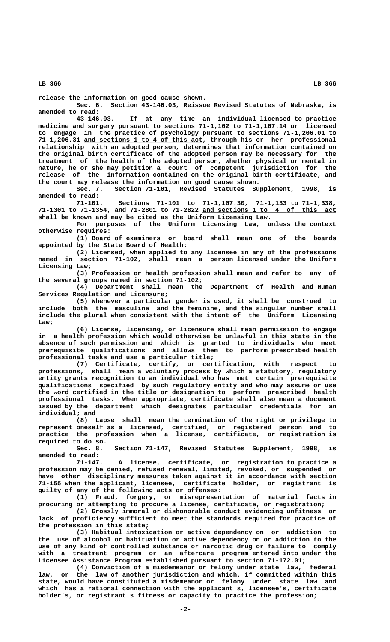**release the information on good cause shown.**

**Sec. 6. Section 43-146.03, Reissue Revised Statutes of Nebraska, is amended to read:**

**43-146.03. If at any time an individual licensed to practice medicine and surgery pursuant to sections 71-1,102 to 71-1,107.14 or licensed to engage in the practice of psychology pursuant to sections 71-1,206.01 to \_\_\_\_\_\_\_\_\_\_\_\_\_\_\_\_\_\_\_\_\_\_\_\_\_\_\_\_\_\_\_ 71-1,206.31 and sections 1 to 4 of this act, through his or her professional relationship with an adopted person, determines that information contained on the original birth certificate of the adopted person may be necessary for the treatment of the health of the adopted person, whether physical or mental in nature, he or she may petition a court of competent jurisdiction for the release of the information contained on the original birth certificate, and the court may release the information on good cause shown.**

**Sec. 7. Section 71-101, Revised Statutes Supplement, 1998, is amended to read:**

**71-101. Sections 71-101 to 71-1,107.30, 71-1,133 to 71-1,338, \_\_\_\_\_\_\_\_\_\_\_\_\_\_\_\_\_\_\_\_\_\_\_\_\_\_\_\_\_\_\_\_\_\_\_ 71-1301 to 71-1354, and 71-2801 to 71-2822 and sections 1 to 4 of this act shall be known and may be cited as the Uniform Licensing Law.**

**For purposes of the Uniform Licensing Law, unless the context otherwise requires:**

**(1) Board of examiners or board shall mean one of the boards appointed by the State Board of Health;**

**(2) Licensed, when applied to any licensee in any of the professions named in section 71-102, shall mean a person licensed under the Uniform Licensing Law;**

**(3) Profession or health profession shall mean and refer to any of the several groups named in section 71-102;**

**(4) Department shall mean the Department of Health and Human Services Regulation and Licensure;**

**(5) Whenever a particular gender is used, it shall be construed to include both the masculine and the feminine, and the singular number shall include the plural when consistent with the intent of the Uniform Licensing Law;**

**(6) License, licensing, or licensure shall mean permission to engage in a health profession which would otherwise be unlawful in this state in the absence of such permission and which is granted to individuals who meet prerequisite qualifications and allows them to perform prescribed health professional tasks and use a particular title;**

**(7) Certificate, certify, or certification, with respect to professions, shall mean a voluntary process by which a statutory, regulatory entity grants recognition to an individual who has met certain prerequisite qualifications specified by such regulatory entity and who may assume or use the word certified in the title or designation to perform prescribed health professional tasks. When appropriate, certificate shall also mean a document issued by the department which designates particular credentials for an individual; and**

**(8) Lapse shall mean the termination of the right or privilege to represent oneself as a licensed, certified, or registered person and to practice the profession when a license, certificate, or registration is**

**required to do so.** Section 71-147, Revised Statutes Supplement, 1998, is **amended to read:**

**71-147. A license, certificate, or registration to practice a profession may be denied, refused renewal, limited, revoked, or suspended or have other disciplinary measures taken against it in accordance with section 71-155 when the applicant, licensee, certificate holder, or registrant is guilty of any of the following acts or offenses:**

**(1) Fraud, forgery, or misrepresentation of material facts in procuring or attempting to procure a license, certificate, or registration;**

**(2) Grossly immoral or dishonorable conduct evidencing unfitness or lack of proficiency sufficient to meet the standards required for practice of the profession in this state;**

**(3) Habitual intoxication or active dependency on or addiction to the use of alcohol or habituation or active dependency on or addiction to the use of any kind of controlled substance or narcotic drug or failure to comply with a treatment program or an aftercare program entered into under the Licensee Assistance Program established pursuant to section 71-172.01;**

**(4) Conviction of a misdemeanor or felony under state law, federal law, or the law of another jurisdiction and which, if committed within this state, would have constituted a misdemeanor or felony under state law and which has a rational connection with the applicant's, licensee's, certificate holder's, or registrant's fitness or capacity to practice the profession;**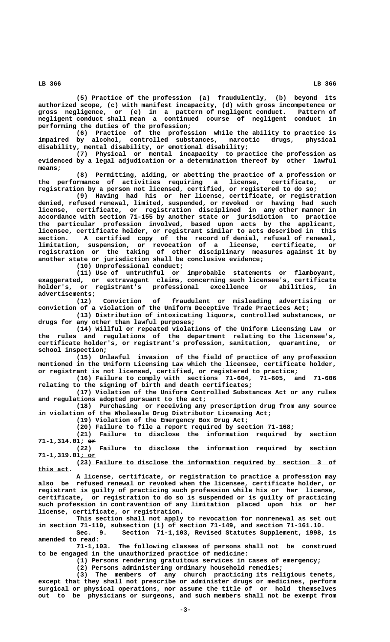**(5) Practice of the profession (a) fraudulently, (b) beyond its authorized scope, (c) with manifest incapacity, (d) with gross incompetence or gross negligence, or (e) in a pattern of negligent conduct. Pattern of negligent conduct shall mean a continued course of negligent conduct in performing the duties of the profession;**

**(6) Practice of the profession while the ability to practice is impaired by alcohol, controlled substances, narcotic drugs, physical disability, mental disability, or emotional disability;**

**(7) Physical or mental incapacity to practice the profession as evidenced by a legal adjudication or a determination thereof by other lawful means;**

**(8) Permitting, aiding, or abetting the practice of a profession or the performance of activities requiring a license, certificate, or registration by a person not licensed, certified, or registered to do so;**

**(9) Having had his or her license, certificate, or registration denied, refused renewal, limited, suspended, or revoked or having had such license, certificate, or registration disciplined in any other manner in accordance with section 71-155 by another state or jurisdiction to practice the particular profession involved, based upon acts by the applicant, licensee, certificate holder, or registrant similar to acts described in this section. A certified copy of the record of denial, refusal of renewal, limitation, suspension, or revocation of a license, certificate, or registration or the taking of other disciplinary measures against it by another state or jurisdiction shall be conclusive evidence;**

**(10) Unprofessional conduct;**

**(11) Use of untruthful or improbable statements or flamboyant, exaggerated, or extravagant claims, concerning such licensee's, certificate holder's, or registrant's professional excellence or abilities, in**

 **advertisements; (12) Conviction of fraudulent or misleading advertising or conviction of a violation of the Uniform Deceptive Trade Practices Act;**

**(13) Distribution of intoxicating liquors, controlled substances, or drugs for any other than lawful purposes;**

**(14) Willful or repeated violations of the Uniform Licensing Law or the rules and regulations of the department relating to the licensee's, certificate holder's, or registrant's profession, sanitation, quarantine, or school inspection;**

**(15) Unlawful invasion of the field of practice of any profession mentioned in the Uniform Licensing Law which the licensee, certificate holder, or registrant is not licensed, certified, or registered to practice;**

**(16) Failure to comply with sections 71-604, 71-605, and 71-606 relating to the signing of birth and death certificates;**

**(17) Violation of the Uniform Controlled Substances Act or any rules and regulations adopted pursuant to the act;**

**(18) Purchasing or receiving any prescription drug from any source in violation of the Wholesale Drug Distributor Licensing Act;**

**(19) Violation of the Emergency Box Drug Act;**

**(20) Failure to file a report required by section 71-168;**

**(21) Failure to disclose the information required by section 71-1,314.01; or ——**

**(22) Failure to disclose the information required by section 71-1,319.01; or \_\_\_\_**

 **\_\_\_\_\_\_\_\_\_\_\_\_\_\_\_\_\_\_\_\_\_\_\_\_\_\_\_\_\_\_\_\_\_\_\_\_\_\_\_\_\_\_\_\_\_\_\_\_\_\_\_\_\_\_\_\_\_\_\_\_\_\_\_\_\_\_\_\_ (23) Failure to disclose the information required by section 3 of this act. \_\_\_\_\_\_\_\_**

**A license, certificate, or registration to practice a profession may also be refused renewal or revoked when the licensee, certificate holder, or registrant is guilty of practicing such profession while his or her license, certificate, or registration to do so is suspended or is guilty of practicing such profession in contravention of any limitation placed upon his or her license, certificate, or registration.**

**This section shall not apply to revocation for nonrenewal as set out in section 71-110, subsection (1) of section 71-149, and section 71-161.10.**

Section 71-1,103, Revised Statutes Supplement, 1998, is **amended to read:**

**71-1,103. The following classes of persons shall not be construed to be engaged in the unauthorized practice of medicine:**

**(1) Persons rendering gratuitous services in cases of emergency;**

**(2) Persons administering ordinary household remedies;**

**(3) The members of any church practicing its religious tenets, except that they shall not prescribe or administer drugs or medicines, perform surgical or physical operations, nor assume the title of or hold themselves out to be physicians or surgeons, and such members shall not be exempt from**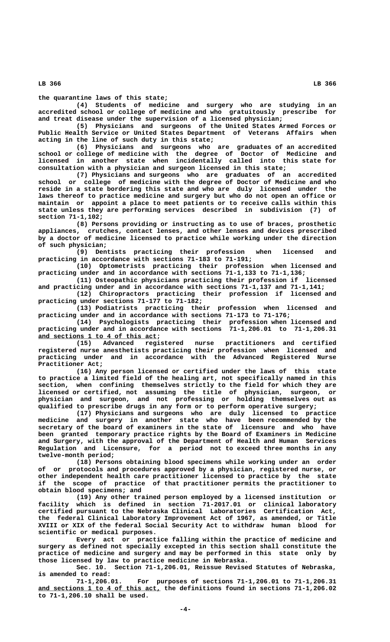**the quarantine laws of this state;**

**(4) Students of medicine and surgery who are studying in an accredited school or college of medicine and who gratuitously prescribe for and treat disease under the supervision of a licensed physician;**

**(5) Physicians and surgeons of the United States Armed Forces or Public Health Service or United States Department of Veterans Affairs when acting in the line of such duty in this state;**

**(6) Physicians and surgeons who are graduates of an accredited school or college of medicine with the degree of Doctor of Medicine and licensed in another state when incidentally called into this state for consultation with a physician and surgeon licensed in this state;**

**(7) Physicians and surgeons who are graduates of an accredited school or college of medicine with the degree of Doctor of Medicine and who reside in a state bordering this state and who are duly licensed under the laws thereof to practice medicine and surgery but who do not open an office or maintain or appoint a place to meet patients or to receive calls within this state unless they are performing services described in subdivision (7) of section 71-1,102;**

**(8) Persons providing or instructing as to use of braces, prosthetic appliances, crutches, contact lenses, and other lenses and devices prescribed by a doctor of medicine licensed to practice while working under the direction of such physician;**

**(9) Dentists practicing their profession when licensed and practicing in accordance with sections 71-183 to 71-191;**

**(10) Optometrists practicing their profession when licensed and practicing under and in accordance with sections 71-1,133 to 71-1,136;**

**(11) Osteopathic physicians practicing their profession if licensed and practicing under and in accordance with sections 71-1,137 and 71-1,141;**

**(12) Chiropractors practicing their profession if licensed and practicing under sections 71-177 to 71-182;**

**(13) Podiatrists practicing their profession when licensed and practicing under and in accordance with sections 71-173 to 71-176;**

**(14) Psychologists practicing their profession when licensed and practicing under and in accordance with sections 71-1,206.01 to 71-1,206.31 \_\_\_\_\_\_\_\_\_\_\_\_\_\_\_\_\_\_\_\_\_\_\_\_\_\_\_\_\_\_\_ and sections 1 to 4 of this act;**

**(15) Advanced registered nurse practitioners and certified registered nurse anesthetists practicing their profession when licensed and practicing under and in accordance with the Advanced Registered Nurse Practitioner Act;**

**(16) Any person licensed or certified under the laws of this state to practice a limited field of the healing art, not specifically named in this section, when confining themselves strictly to the field for which they are licensed or certified, not assuming the title of physician, surgeon, or physician and surgeon, and not professing or holding themselves out as qualified to prescribe drugs in any form or to perform operative surgery;**

**(17) Physicians and surgeons who are duly licensed to practice medicine and surgery in another state who have been recommended by the secretary of the board of examiners in the state of licensure and who have been granted temporary practice rights by the Board of Examiners in Medicine and Surgery, with the approval of the Department of Health and Human Services Regulation and Licensure, for a period not to exceed three months in any twelve-month period;**

**(18) Persons obtaining blood specimens while working under an order of or protocols and procedures approved by a physician, registered nurse, or other independent health care practitioner licensed to practice by the state if the scope of practice of that practitioner permits the practitioner to obtain blood specimens; and**

**(19) Any other trained person employed by a licensed institution or facility which is defined in section 71-2017.01 or clinical laboratory certified pursuant to the Nebraska Clinical Laboratories Certification Act, the federal Clinical Laboratory Improvement Act of 1967, as amended, or Title XVIII or XIX of the federal Social Security Act to withdraw human blood for scientific or medical purposes.**

**Every act or practice falling within the practice of medicine and surgery as defined not specially excepted in this section shall constitute the practice of medicine and surgery and may be performed in this state only by those licensed by law to practice medicine in Nebraska.**

**Sec. 10. Section 71-1,206.01, Reissue Revised Statutes of Nebraska, is amended to read:**

**71-1,206.01. For purposes of sections 71-1,206.01 to 71-1,206.31 \_\_\_\_\_\_\_\_\_\_\_\_\_\_\_\_\_\_\_\_\_\_\_\_\_\_\_\_\_\_\_\_ and sections 1 to 4 of this act, the definitions found in sections 71-1,206.02 to 71-1,206.10 shall be used.**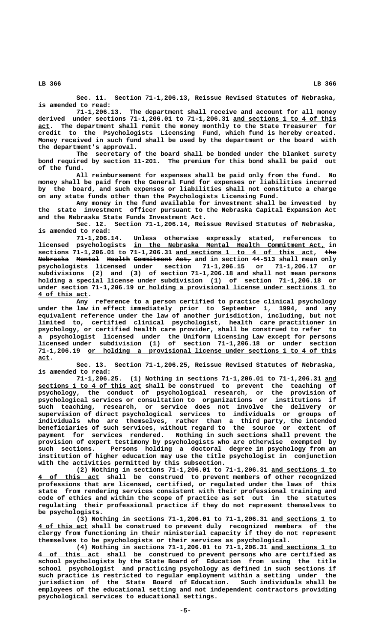**Sec. 11. Section 71-1,206.13, Reissue Revised Statutes of Nebraska, is amended to read:**

**71-1,206.13. The department shall receive and account for all money derived under sections 71-1,206.01 to 71-1,206.31 and sections 1 to 4 of this \_\_\_\_\_\_\_\_\_\_\_\_\_\_\_\_\_\_\_\_\_\_\_\_\_\_\_ \_\_\_ act. The department shall remit the money monthly to the State Treasurer for credit to the Psychologists Licensing Fund, which fund is hereby created. Money received in such fund shall be used by the department or the board with the department's approval.**

**The secretary of the board shall be bonded under the blanket surety bond required by section 11-201. The premium for this bond shall be paid out of the fund.**

**All reimbursement for expenses shall be paid only from the fund. No money shall be paid from the General Fund for expenses or liabilities incurred by the board, and such expenses or liabilities shall not constitute a charge on any state funds other than the Psychologists Licensing Fund.**

**Any money in the fund available for investment shall be invested by the state investment officer pursuant to the Nebraska Capital Expansion Act and the Nebraska State Funds Investment Act.**

**Sec. 12. Section 71-1,206.14, Reissue Revised Statutes of Nebraska, is amended to read:**

Unless otherwise expressly stated, references to  **\_\_\_\_\_\_\_\_\_\_\_\_\_\_\_\_\_\_\_\_\_\_\_\_\_\_\_\_\_\_\_\_\_\_\_\_\_\_\_\_\_\_\_\_\_\_\_\_\_\_ licensed psychologists in the Nebraska Mental Health Commitment Act, in \_\_\_\_\_\_\_\_\_\_\_\_\_\_\_\_\_\_\_\_\_\_\_\_\_\_\_\_\_\_\_\_\_\_\_\_ ——— sections 71-1,206.01 to 71-1,206.31 and sections 1 to 4 of this act, the Nebraska Mental Health Commitment Act, and in section 44-513 shall mean only ———————— —————— —————— —————————— ——— psychologists licensed under section 71-1,206.15 or 71-1,206.17 or subdivisions (2) and (3) of section 71-1,206.18 and shall not mean persons holding a special license under subdivision (1) of section 71-1,206.18 or** under section 71-1,206.19 or holding a provisional license under sections 1 to  **\_\_\_\_\_\_\_\_\_\_\_\_\_ 4 of this act.**

> **Any reference to a person certified to practice clinical psychology under the law in effect immediately prior to September 1, 1994, and any equivalent reference under the law of another jurisdiction, including, but not limited to, certified clinical psychologist, health care practitioner in psychology, or certified health care provider, shall be construed to refer to a psychologist licensed under the Uniform Licensing Law except for persons licensed under subdivision (1) of section 71-1,206.18 or under section \_\_\_\_\_\_\_\_\_\_\_\_\_\_\_\_\_\_\_\_\_\_\_\_\_\_\_\_\_\_\_\_\_\_\_\_\_\_\_\_\_\_\_\_\_\_\_\_\_\_\_\_\_\_\_\_\_\_\_\_\_\_\_\_\_ 71-1,206.19 or holding a provisional license under sections 1 to 4 of this act. \_\_\_**

> **Sec. 13. Section 71-1,206.25, Reissue Revised Statutes of Nebraska, is amended to read:**

> **71-1,206.25. (1) Nothing in sections 71-1,206.01 to 71-1,206.31 and \_\_\_ \_\_\_\_\_\_\_\_\_\_\_\_\_\_\_\_\_\_\_\_\_\_\_\_\_\_\_ sections 1 to 4 of this act shall be construed to prevent the teaching of psychology, the conduct of psychological research, or the provision of psychological services or consultation to organizations or institutions if such teaching, research, or service does not involve the delivery or supervision of direct psychological services to individuals or groups of individuals who are themselves, rather than a third party, the intended beneficiaries of such services, without regard to the source or extent of payment for services rendered. Nothing in such sections shall prevent the provision of expert testimony by psychologists who are otherwise exempted by such sections. Persons holding a doctoral degree in psychology from an institution of higher education may use the title psychologist in conjunction with the activities permitted by this subsection.**

> **(2) Nothing in sections 71-1,206.01 to 71-1,206.31 and sections 1 to \_\_\_\_\_\_\_\_\_\_\_\_\_\_\_\_\_ \_\_\_\_\_\_\_\_\_\_\_\_\_\_\_\_ 4 of this act shall be construed to prevent members of other recognized professions that are licensed, certified, or regulated under the laws of this state from rendering services consistent with their professional training and code of ethics and within the scope of practice as set out in the statutes regulating their professional practice if they do not represent themselves to be psychologists.**

> (3) Nothing in sections 71-1,206.01 to 71-1,206.31 and sections 1 to  **\_\_\_\_\_\_\_\_\_\_\_\_\_ 4 of this act shall be construed to prevent duly recognized members of the clergy from functioning in their ministerial capacity if they do not represent themselves to be psychologists or their services as psychological.**

> **(4) Nothing in sections 71-1,206.01 to 71-1,206.31 and sections 1 to \_\_\_\_\_\_\_\_\_\_\_\_\_\_\_\_\_ \_\_\_\_\_\_\_\_\_\_\_\_\_\_\_\_ 4 of this act shall be construed to prevent persons who are certified as school psychologists by the State Board of Education from using the title school psychologist and practicing psychology as defined in such sections if such practice is restricted to regular employment within a setting under the jurisdiction of the State Board of Education. Such individuals shall be employees of the educational setting and not independent contractors providing psychological services to educational settings.**

 **LB 366 LB 366**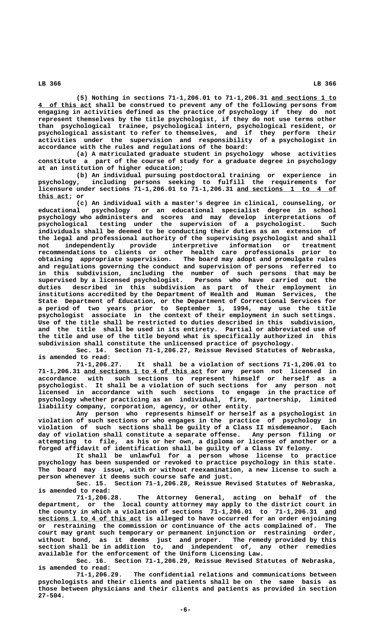**(5) Nothing in sections 71-1,206.01 to 71-1,206.31 and sections 1 to \_\_\_\_\_\_\_\_\_\_\_\_\_\_\_\_\_ \_\_\_\_\_\_\_\_\_\_\_\_\_\_ 4 of this act shall be construed to prevent any of the following persons from engaging in activities defined as the practice of psychology if they do not represent themselves by the title psychologist, if they do not use terms other than psychological trainee, psychological intern, psychological resident, or psychological assistant to refer to themselves, and if they perform their activities under the supervision and responsibility of a psychologist in accordance with the rules and regulations of the board:**

**(a) A matriculated graduate student in psychology whose activities constitute a part of the course of study for a graduate degree in psychology at an institution of higher education;**

**(b) An individual pursuing postdoctoral training or experience in psychology, including persons seeking to fulfill the requirements for licensure under sections 71-1,206.01 to 71-1,206.31 and sections 1 to 4 of \_\_\_\_\_\_\_\_\_\_\_\_\_\_\_\_\_\_\_\_\_\_\_\_\_\_ \_\_\_\_\_\_\_\_ this act; or**

**(c) An individual with a master's degree in clinical, counseling, or educational psychology or an educational specialist degree in school psychology who administers and scores and may develop interpretations of psychological testing under the supervision of a psychologist. Such individuals shall be deemed to be conducting their duties as an extension of the legal and professional authority of the supervising psychologist and shall not independently provide interpretive information or treatment recommendations to clients or other health care professionals prior to obtaining appropriate supervision. The board may adopt and promulgate rules and regulations governing the conduct and supervision of persons referred to in this subdivision, including the number of such persons that may be supervised by a licensed psychologist. Persons who have carried out the duties described in this subdivision as part of their employment in institutions accredited by the Department of Health and Human Services, the State Department of Education, or the Department of Correctional Services for a period of two years prior to September 1, 1994, may use the title psychologist associate in the context of their employment in such settings. Use of the title shall be restricted to duties described in this subdivision, and the title shall be used in its entirety. Partial or abbreviated use of the title and use of the title beyond what is specifically authorized in this subdivision shall constitute the unlicensed practice of psychology.**

**Sec. 14. Section 71-1,206.27, Reissue Revised Statutes of Nebraska, is amended to read:**

**71-1,206.27. It shall be a violation of sections 71-1,206.01 to \_\_\_\_\_\_\_\_\_\_\_\_\_\_\_\_\_\_\_\_\_\_\_\_\_\_\_\_\_\_\_ 71-1,206.31 and sections 1 to 4 of this act for any person not licensed in accordance with such sections to represent himself or herself as a psychologist. It shall be a violation of such sections for any person not licensed in accordance with such sections to engage in the practice of psychology whether practicing as an individual, firm, partnership, limited liability company, corporation, agency, or other entity.**

**Any person who represents himself or herself as a psychologist in violation of such sections or who engages in the practice of psychology in violation of such sections shall be guilty of a Class II misdemeanor. Each day of violation shall constitute a separate offense. Any person filing or attempting to file, as his or her own, a diploma or license of another or a forged affidavit of identification shall be guilty of a Class IV felony.**

**It shall be unlawful for a person whose license to practice psychology has been suspended or revoked to practice psychology in this state. The board may issue, with or without reexamination, a new license to such a person whenever it deems such course safe and just.**

**Sec. 15. Section 71-1,206.28, Reissue Revised Statutes of Nebraska, is amended to read:**

**71-1,206.28. The Attorney General, acting on behalf of the department, or the local county attorney may apply to the district court in the county in which a violation of sections 71-1,206.01 to 71-1,206.31 and \_\_\_ \_\_\_\_\_\_\_\_\_\_\_\_\_\_\_\_\_\_\_\_\_\_\_\_\_\_\_ sections 1 to 4 of this act is alleged to have occurred for an order enjoining or restraining the commission or continuance of the acts complained of. The court may grant such temporary or permanent injunction or restraining order, without bond, as it deems just and proper. The remedy provided by this section shall be in addition to, and independent of, any other remedies available for the enforcement of the Uniform Licensing Law.**

**Sec. 16. Section 71-1,206.29, Reissue Revised Statutes of Nebraska, is amended to read:**

**71-1,206.29. The confidential relations and communications between psychologists and their clients and patients shall be on the same basis as those between physicians and their clients and patients as provided in section 27-504.**